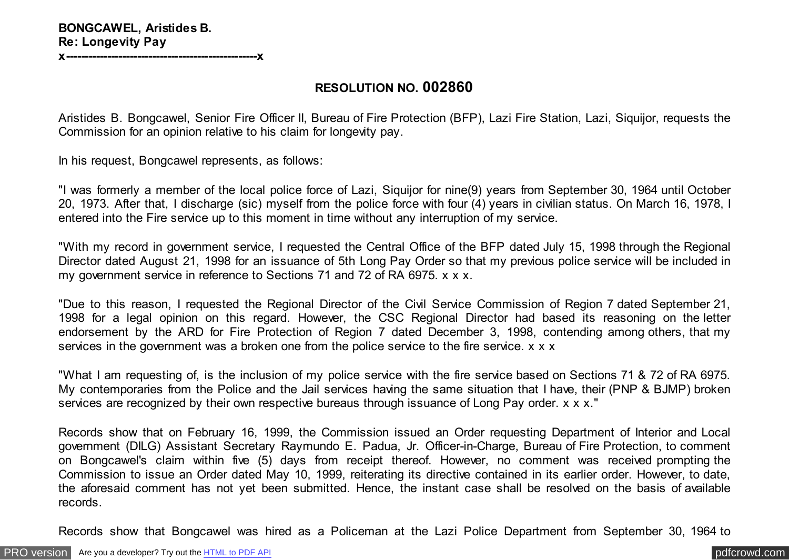**x---------------------------------------------------x**

## **RESOLUTION NO. 002860**

Aristides B. Bongcawel, Senior Fire Officer II, Bureau of Fire Protection (BFP), Lazi Fire Station, Lazi, Siquijor, requests the Commission for an opinion relative to his claim for longevity pay.

In his request, Bongcawel represents, as follows:

"I was formerly a member of the local police force of Lazi, Siquijor for nine(9) years from September 30, 1964 until October 20, 1973. After that, I discharge (sic) myself from the police force with four (4) years in civilian status. On March 16, 1978, I entered into the Fire service up to this moment in time without any interruption of my service.

"With my record in government service, I requested the Central Office of the BFP dated July 15, 1998 through the Regional Director dated August 21, 1998 for an issuance of 5th Long Pay Order so that my previous police service will be included in my government service in reference to Sections 71 and 72 of RA 6975. x x x.

"Due to this reason, I requested the Regional Director of the Civil Service Commission of Region 7 dated September 21, 1998 for a legal opinion on this regard. However, the CSC Regional Director had based its reasoning on the letter endorsement by the ARD for Fire Protection of Region 7 dated December 3, 1998, contending among others, that my services in the government was a broken one from the police service to the fire service. x x x

"What I am requesting of, is the inclusion of my police service with the fire service based on Sections 71 & 72 of RA 6975. My contemporaries from the Police and the Jail services having the same situation that I have, their (PNP & BJMP) broken services are recognized by their own respective bureaus through issuance of Long Pay order. x x x."

Records show that on February 16, 1999, the Commission issued an Order requesting Department of Interior and Local government (DILG) Assistant Secretary Raymundo E. Padua, Jr. Officer-in-Charge, Bureau of Fire Protection, to comment on Bongcawel's claim within five (5) days from receipt thereof. However, no comment was received prompting the Commission to issue an Order dated May 10, 1999, reiterating its directive contained in its earlier order. However, to date, the aforesaid comment has not yet been submitted. Hence, the instant case shall be resolved on the basis of available records.

Records show that Bongcawel was hired as a Policeman at the Lazi Police Department from September 30, 1964 to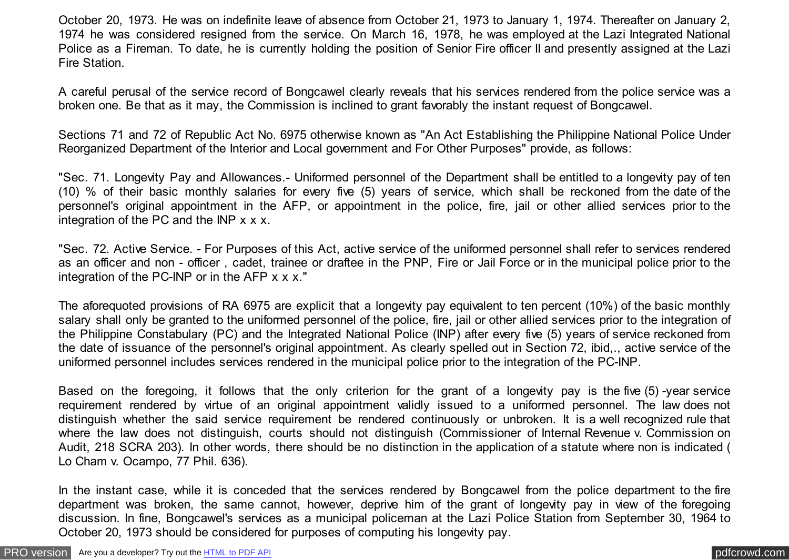October 20, 1973. He was on indefinite leave of absence from October 21, 1973 to January 1, 1974. Thereafter on January 2, 1974 he was considered resigned from the service. On March 16, 1978, he was employed at the Lazi Integrated National Police as a Fireman. To date, he is currently holding the position of Senior Fire officer II and presently assigned at the Lazi Fire Station.

A careful perusal of the service record of Bongcawel clearly reveals that his services rendered from the police service was a broken one. Be that as it may, the Commission is inclined to grant favorably the instant request of Bongcawel.

Sections 71 and 72 of Republic Act No. 6975 otherwise known as "An Act Establishing the Philippine National Police Under Reorganized Department of the Interior and Local government and For Other Purposes" provide, as follows:

"Sec. 71. Longevity Pay and Allowances.- Uniformed personnel of the Department shall be entitled to a longevity pay of ten (10) % of their basic monthly salaries for every five (5) years of service, which shall be reckoned from the date of the personnel's original appointment in the AFP, or appointment in the police, fire, jail or other allied services prior to the integration of the PC and the INP x x x.

"Sec. 72. Active Service. - For Purposes of this Act, active service of the uniformed personnel shall refer to services rendered as an officer and non - officer , cadet, trainee or draftee in the PNP, Fire or Jail Force or in the municipal police prior to the integration of the PC-INP or in the AFP x x x."

The aforequoted provisions of RA 6975 are explicit that a longevity pay equivalent to ten percent (10%) of the basic monthly salary shall only be granted to the uniformed personnel of the police, fire, jail or other allied services prior to the integration of the Philippine Constabulary (PC) and the Integrated National Police (INP) after every five (5) years of service reckoned from the date of issuance of the personnel's original appointment. As clearly spelled out in Section 72, ibid,., active service of the uniformed personnel includes services rendered in the municipal police prior to the integration of the PC-INP.

Based on the foregoing, it follows that the only criterion for the grant of a longevity pay is the five (5) -year service requirement rendered by virtue of an original appointment validly issued to a uniformed personnel. The law does not distinguish whether the said service requirement be rendered continuously or unbroken. It is a well recognized rule that where the law does not distinguish, courts should not distinguish (Commissioner of Internal Revenue v. Commission on Audit, 218 SCRA 203). In other words, there should be no distinction in the application of a statute where non is indicated ( Lo Cham v. Ocampo, 77 Phil. 636).

In the instant case, while it is conceded that the services rendered by Bongcawel from the police department to the fire department was broken, the same cannot, however, deprive him of the grant of longevity pay in view of the foregoing discussion. In fine, Bongcawel's services as a municipal policeman at the Lazi Police Station from September 30, 1964 to October 20, 1973 should be considered for purposes of computing his longevity pay.